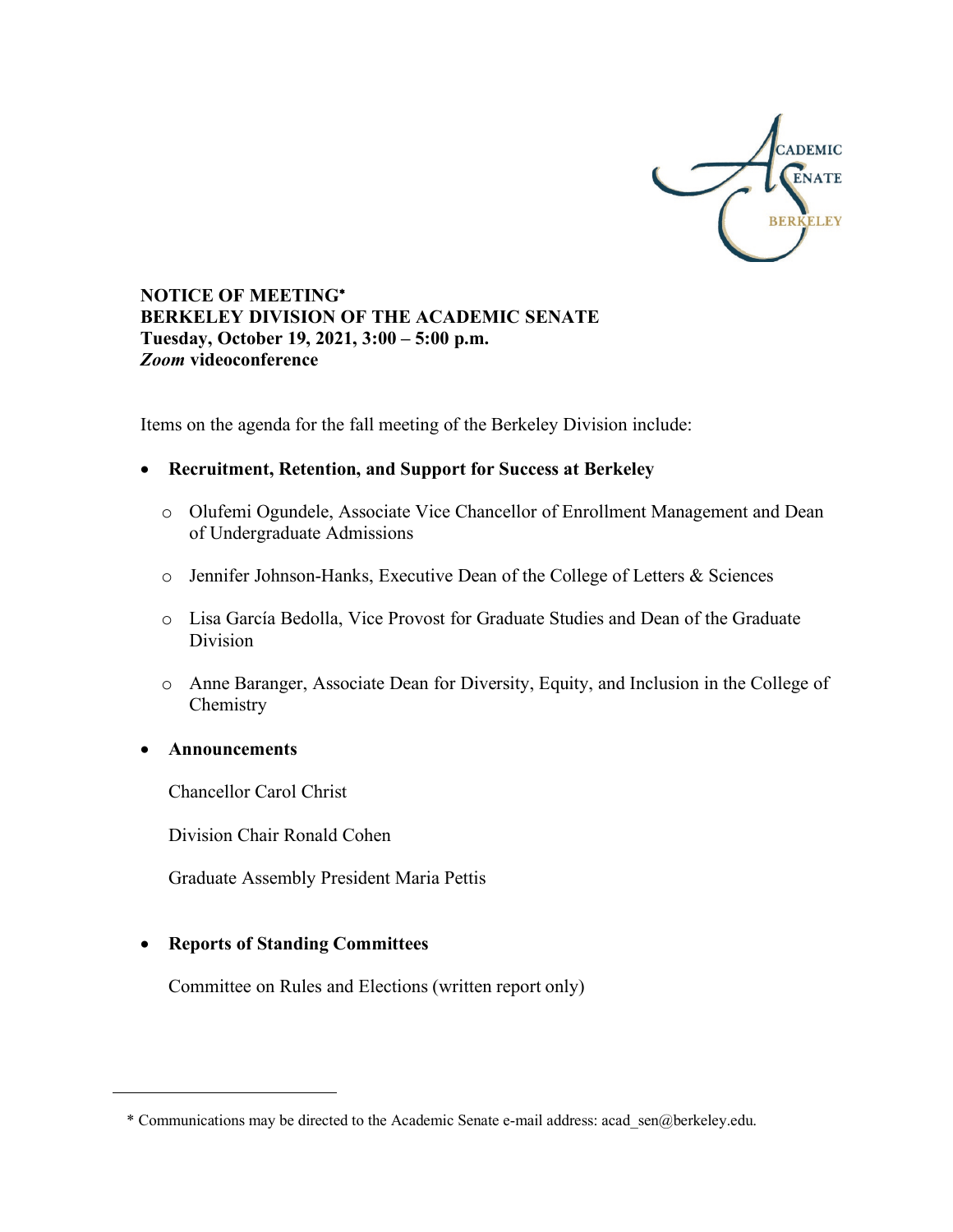

**NOTICE OF MEETING**\* **BERKELEY DIVISION OF THE ACADEMIC SENATE Tuesday, October 19, 2021, 3:00 – 5:00 p.m.** *Zoom* **videoconference**

Items on the agenda for the fall meeting of the Berkeley Division include:

- **Recruitment, Retention, and Support for Success at Berkeley**
	- o Olufemi Ogundele, Associate Vice Chancellor of Enrollment Management and Dean of Undergraduate Admissions
	- o Jennifer Johnson-Hanks, Executive Dean of the College of Letters & Sciences
	- o Lisa García Bedolla, Vice Provost for Graduate Studies and Dean of the Graduate Division
	- o Anne Baranger, Associate Dean for Diversity, Equity, and Inclusion in the College of Chemistry
- **Announcements**

<u>.</u>

Chancellor Carol Christ

Division Chair Ronald Cohen

Graduate Assembly President Maria Pettis

### • **Reports of Standing Committees**

Committee on Rules and Elections (written report only)

<sup>\*</sup> Communications may be directed to the Academic Senate e-mail address: acad\_sen@berkeley.edu.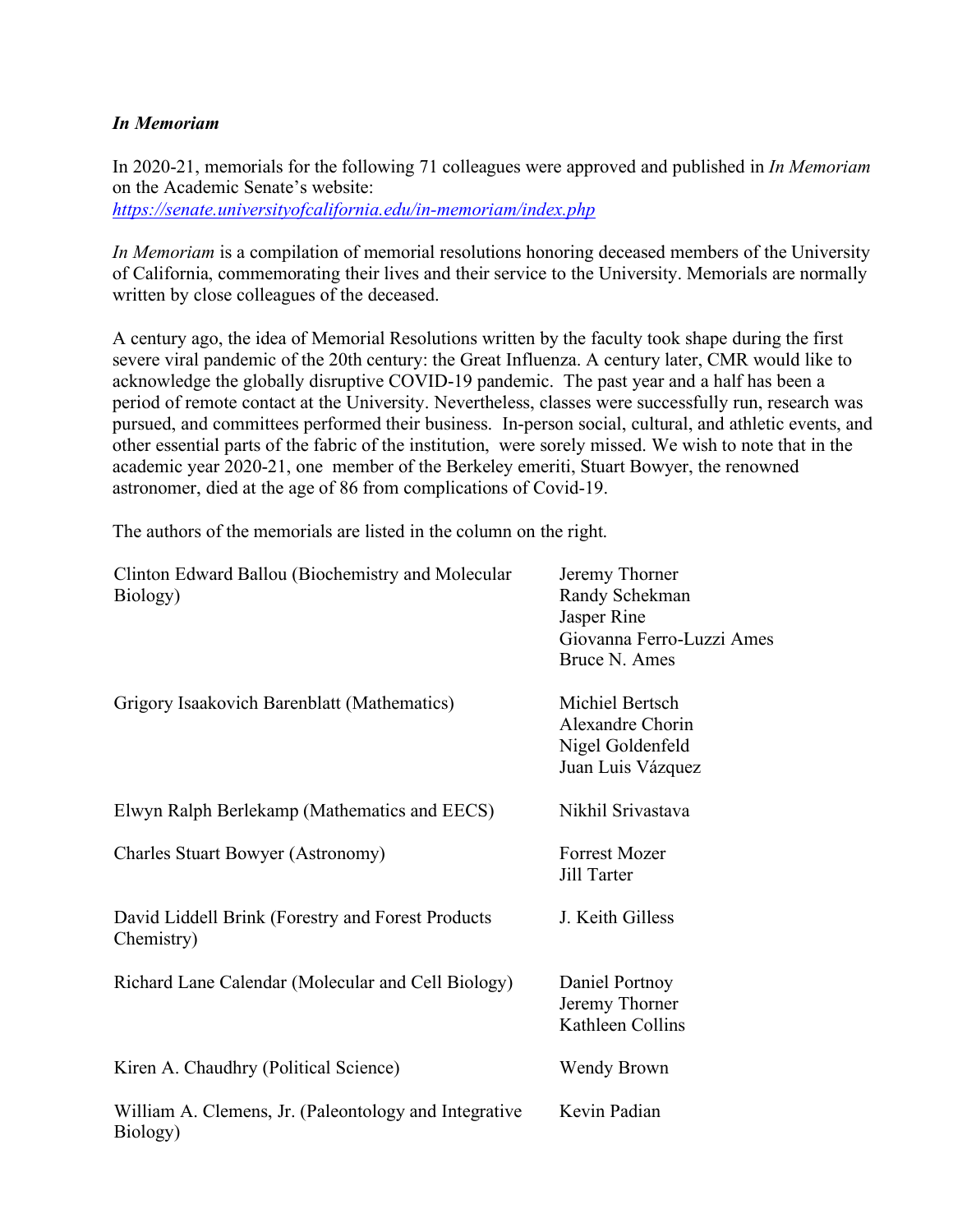## *In Memoriam*

In 2020-21, memorials for the following 71 colleagues were approved and published in *In Memoriam*  on the Academic Senate's website:

*https://senate.universityofcalifornia.edu/in-memoriam/index.php*

*In Memoriam* is a compilation of memorial resolutions honoring deceased members of the University of California, commemorating their lives and their service to the University. Memorials are normally written by close colleagues of the deceased.

A century ago, the idea of Memorial Resolutions written by the faculty took shape during the first severe viral pandemic of the 20th century: the Great Influenza. A century later, CMR would like to acknowledge the globally disruptive COVID-19 pandemic. The past year and a half has been a period of remote contact at the University. Nevertheless, classes were successfully run, research was pursued, and committees performed their business. In-person social, cultural, and athletic events, and other essential parts of the fabric of the institution, were sorely missed. We wish to note that in the academic year 2020-21, one member of the Berkeley emeriti, Stuart Bowyer, the renowned astronomer, died at the age of 86 from complications of Covid-19.

The authors of the memorials are listed in the column on the right.

| Clinton Edward Ballou (Biochemistry and Molecular<br>Biology)     | Jeremy Thorner<br>Randy Schekman<br>Jasper Rine<br>Giovanna Ferro-Luzzi Ames<br>Bruce N. Ames |
|-------------------------------------------------------------------|-----------------------------------------------------------------------------------------------|
| Grigory Isaakovich Barenblatt (Mathematics)                       | Michiel Bertsch<br>Alexandre Chorin<br>Nigel Goldenfeld<br>Juan Luis Vázquez                  |
| Elwyn Ralph Berlekamp (Mathematics and EECS)                      | Nikhil Srivastava                                                                             |
| Charles Stuart Bowyer (Astronomy)                                 | <b>Forrest Mozer</b><br>Jill Tarter                                                           |
| David Liddell Brink (Forestry and Forest Products<br>Chemistry)   | J. Keith Gilless                                                                              |
| Richard Lane Calendar (Molecular and Cell Biology)                | Daniel Portnoy<br>Jeremy Thorner<br>Kathleen Collins                                          |
| Kiren A. Chaudhry (Political Science)                             | Wendy Brown                                                                                   |
| William A. Clemens, Jr. (Paleontology and Integrative<br>Biology) | Kevin Padian                                                                                  |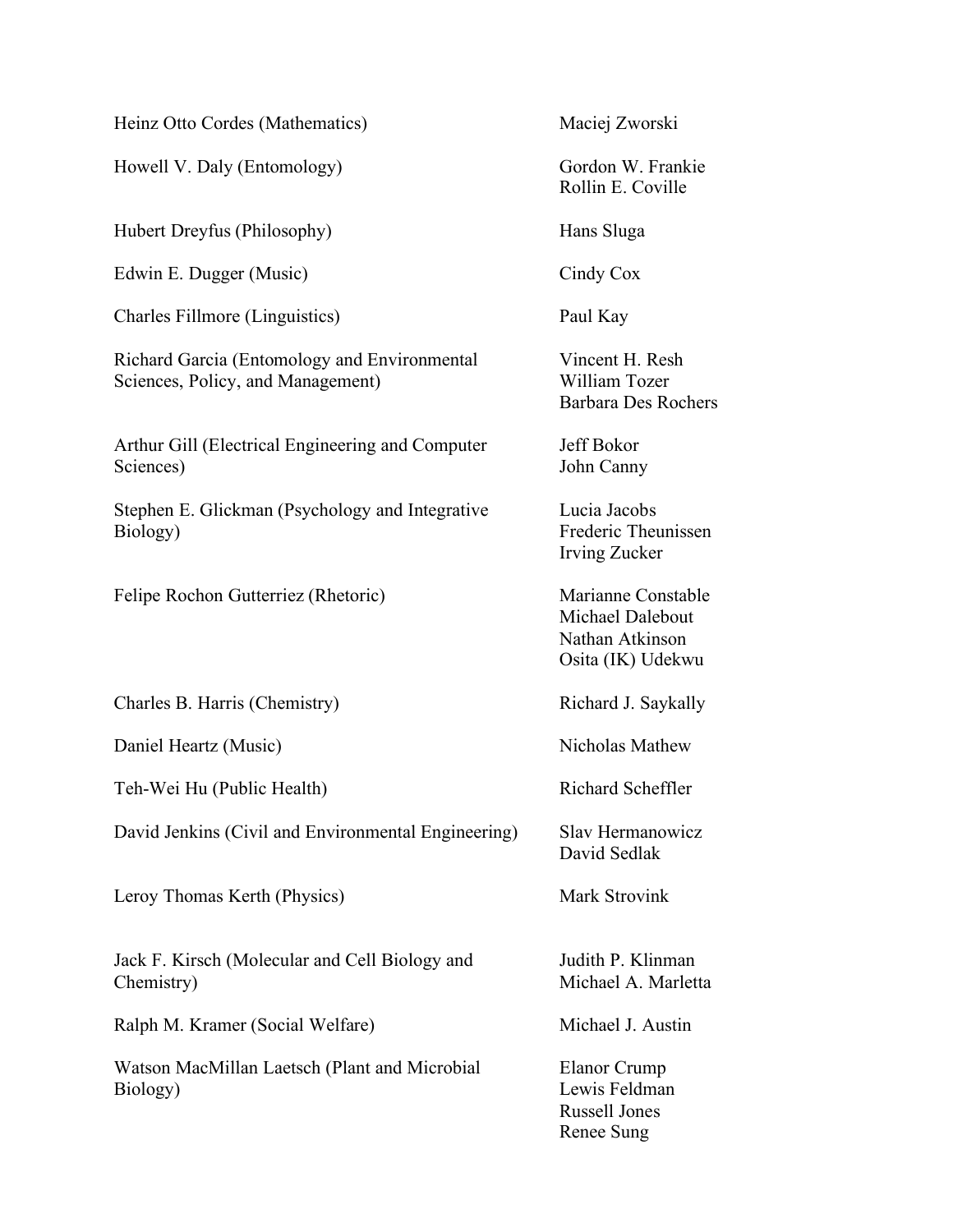Heinz Otto Cordes (Mathematics)

Howell V. Daly (Entomology)

Hubert Dreyfus (Philosophy)

Edwin E. Dugger (Music)

Charles Fillmore (Linguistics)

Richard Garcia (Entomology and Environmental Sciences, Policy, and Management)

Arthur Gill (Electrical Engineering and Computer Sciences)

Stephen E. Glickman (Psychology and Integrative Biology)

Felipe Rochon Gutterriez (Rhetoric)

Charles B. Harris (Chemistry)

Daniel Heartz (Music)

Teh-Wei Hu (Public Health)

David Jenkins (Civil and Environmental Engineering)

Leroy Thomas Kerth (Physics)

Jack F. Kirsch (Molecular and Cell Biology and Chemistry)

Ralph M. Kramer (Social Welfare)

Watson MacMillan Laetsch (Plant and Microbial Biology)

Maciej Zworski

Gordon W. Frankie Rollin E. Coville

Hans Sluga

Cindy Cox

Paul Kay

Vincent H. Resh William Tozer Barbara Des Rochers

Jeff Bokor John Canny

Lucia Jacobs Frederic Theunissen Irving Zucker

Marianne Constable Michael Dalebout Nathan Atkinson Osita (IK) Udekwu

Richard J. Saykally

Nicholas Mathew

Richard Scheffler

Slav Hermanowicz David Sedlak

Mark Strovink

Judith P. Klinman Michael A. Marletta

Michael J. Austin

Elanor Crump Lewis Feldman Russell Jones Renee Sung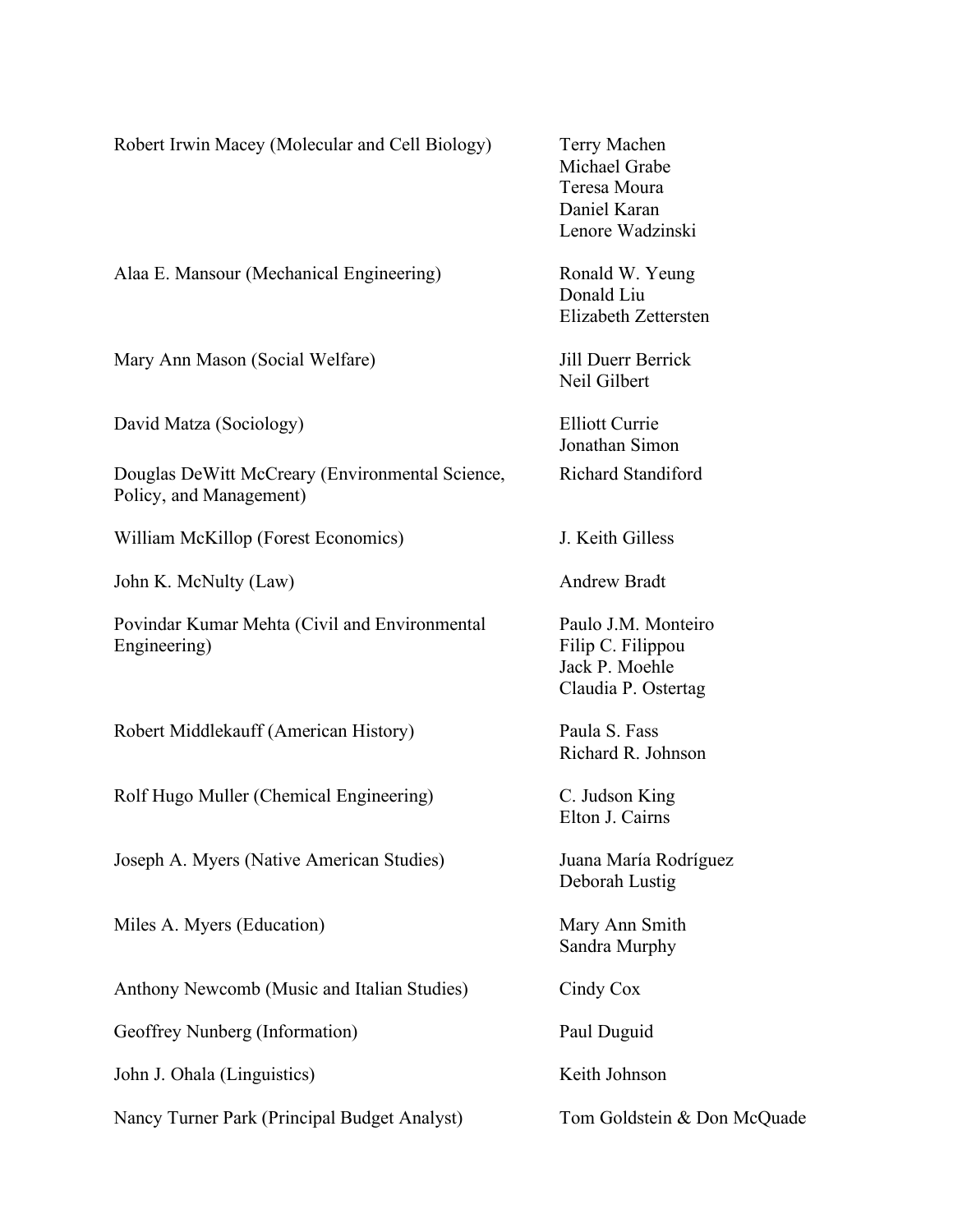| Robert Irwin Macey (Molecular and Cell Biology)                            | Terry Machen<br>Michael Grabe<br>Teresa Moura<br>Daniel Karan<br>Lenore Wadzinski |
|----------------------------------------------------------------------------|-----------------------------------------------------------------------------------|
| Alaa E. Mansour (Mechanical Engineering)                                   | Ronald W. Yeung<br>Donald Liu<br>Elizabeth Zettersten                             |
| Mary Ann Mason (Social Welfare)                                            | Jill Duerr Berrick<br>Neil Gilbert                                                |
| David Matza (Sociology)                                                    | <b>Elliott Currie</b><br>Jonathan Simon                                           |
| Douglas DeWitt McCreary (Environmental Science,<br>Policy, and Management) | Richard Standiford                                                                |
| William McKillop (Forest Economics)                                        | J. Keith Gilless                                                                  |
| John K. McNulty (Law)                                                      | <b>Andrew Bradt</b>                                                               |
| Povindar Kumar Mehta (Civil and Environmental<br>Engineering)              | Paulo J.M. Monteiro<br>Filip C. Filippou<br>Jack P. Moehle<br>Claudia P. Ostertag |
| Robert Middlekauff (American History)                                      | Paula S. Fass<br>Richard R. Johnson                                               |
| Rolf Hugo Muller (Chemical Engineering)                                    | C. Judson King<br>Elton J. Cairns                                                 |
| Joseph A. Myers (Native American Studies)                                  | Juana María Rodríguez<br>Deborah Lustig                                           |
| Miles A. Myers (Education)                                                 | Mary Ann Smith<br>Sandra Murphy                                                   |
| Anthony Newcomb (Music and Italian Studies)                                | Cindy Cox                                                                         |
| Geoffrey Nunberg (Information)                                             | Paul Duguid                                                                       |
| John J. Ohala (Linguistics)                                                | Keith Johnson                                                                     |
| Nancy Turner Park (Principal Budget Analyst)                               | Tom Goldstein & Don McQuade                                                       |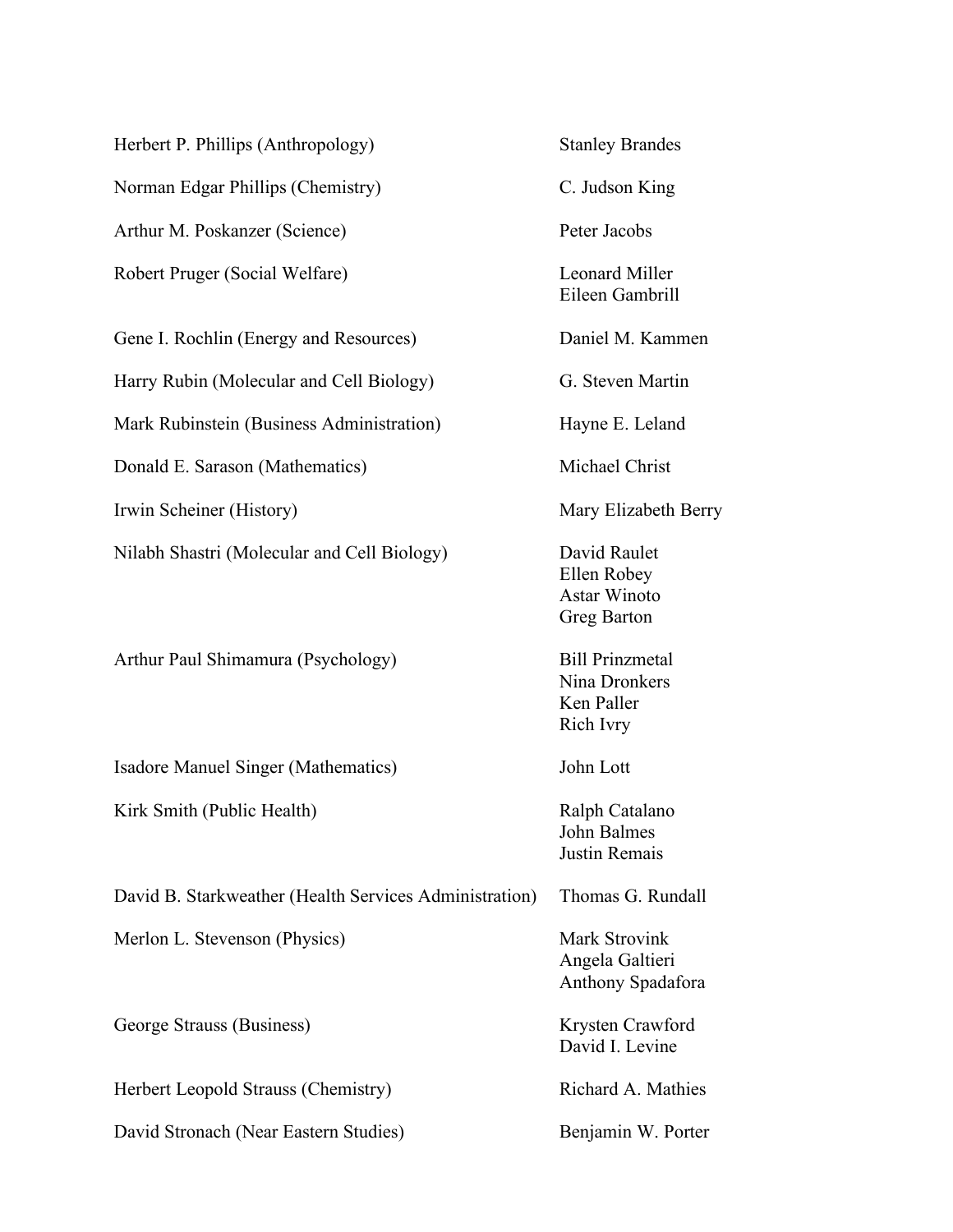| Herbert P. Phillips (Anthropology)                     | <b>Stanley Brandes</b>                                             |
|--------------------------------------------------------|--------------------------------------------------------------------|
| Norman Edgar Phillips (Chemistry)                      | C. Judson King                                                     |
| Arthur M. Poskanzer (Science)                          | Peter Jacobs                                                       |
| Robert Pruger (Social Welfare)                         | <b>Leonard Miller</b><br>Eileen Gambrill                           |
| Gene I. Rochlin (Energy and Resources)                 | Daniel M. Kammen                                                   |
| Harry Rubin (Molecular and Cell Biology)               | G. Steven Martin                                                   |
| Mark Rubinstein (Business Administration)              | Hayne E. Leland                                                    |
| Donald E. Sarason (Mathematics)                        | Michael Christ                                                     |
| Irwin Scheiner (History)                               | Mary Elizabeth Berry                                               |
| Nilabh Shastri (Molecular and Cell Biology)            | David Raulet<br>Ellen Robey<br><b>Astar Winoto</b><br>Greg Barton  |
| Arthur Paul Shimamura (Psychology)                     | <b>Bill Prinzmetal</b><br>Nina Dronkers<br>Ken Paller<br>Rich Ivry |
| Isadore Manuel Singer (Mathematics)                    | John Lott                                                          |
| Kirk Smith (Public Health)                             | Ralph Catalano<br>John Balmes<br>Justin Remais                     |
| David B. Starkweather (Health Services Administration) | Thomas G. Rundall                                                  |
| Merlon L. Stevenson (Physics)                          | <b>Mark Strovink</b><br>Angela Galtieri<br>Anthony Spadafora       |
| George Strauss (Business)                              | Krysten Crawford<br>David I. Levine                                |
| Herbert Leopold Strauss (Chemistry)                    | Richard A. Mathies                                                 |
| David Stronach (Near Eastern Studies)                  | Benjamin W. Porter                                                 |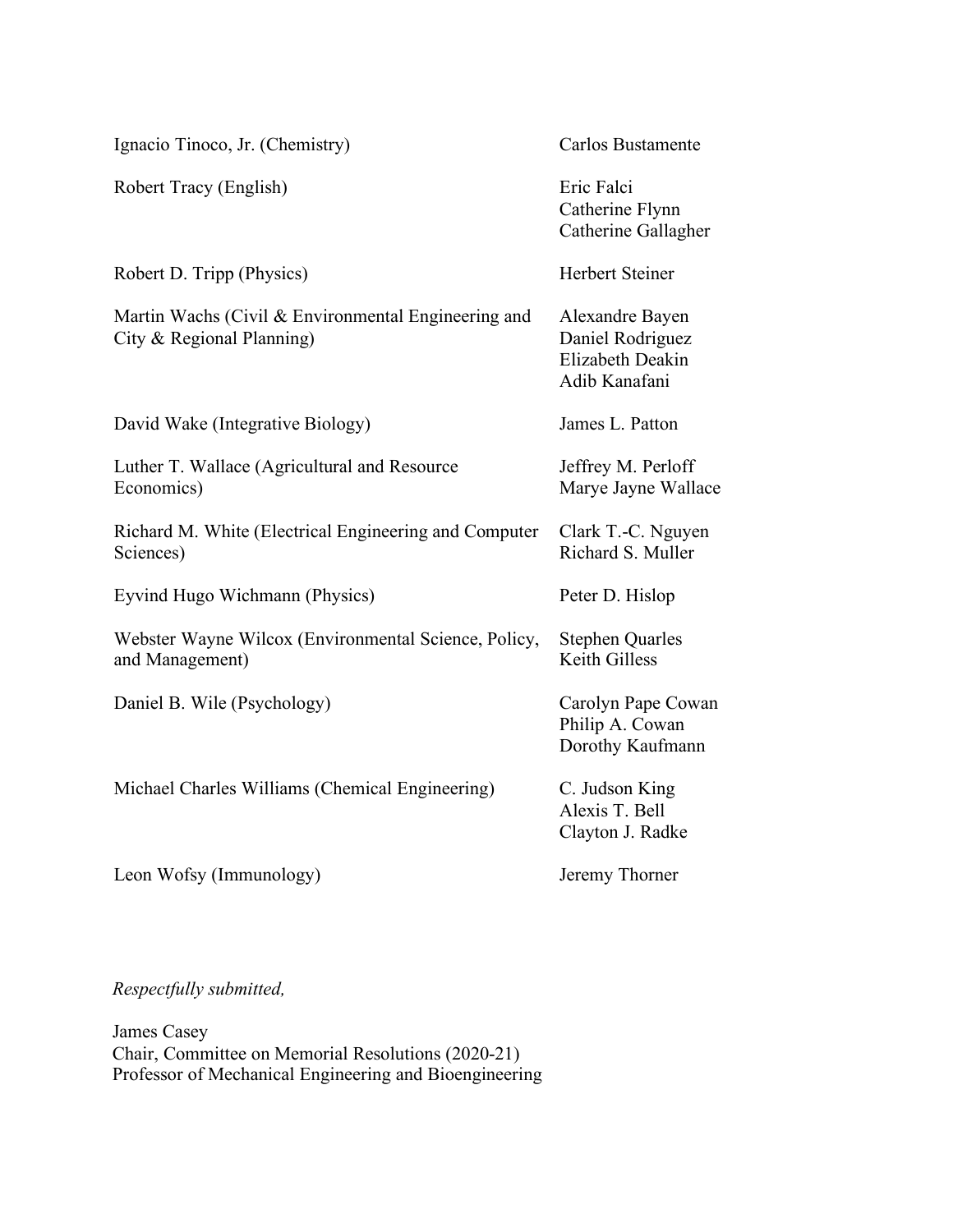| Ignacio Tinoco, Jr. (Chemistry)                                                  | Carlos Bustamente                                                        |
|----------------------------------------------------------------------------------|--------------------------------------------------------------------------|
| Robert Tracy (English)                                                           | Eric Falci<br>Catherine Flynn<br>Catherine Gallagher                     |
| Robert D. Tripp (Physics)                                                        | <b>Herbert Steiner</b>                                                   |
| Martin Wachs (Civil & Environmental Engineering and<br>City & Regional Planning) | Alexandre Bayen<br>Daniel Rodriguez<br>Elizabeth Deakin<br>Adib Kanafani |
| David Wake (Integrative Biology)                                                 | James L. Patton                                                          |
| Luther T. Wallace (Agricultural and Resource<br>Economics)                       | Jeffrey M. Perloff<br>Marye Jayne Wallace                                |
| Richard M. White (Electrical Engineering and Computer<br>Sciences)               | Clark T.-C. Nguyen<br>Richard S. Muller                                  |
| Eyvind Hugo Wichmann (Physics)                                                   | Peter D. Hislop                                                          |
| Webster Wayne Wilcox (Environmental Science, Policy,<br>and Management)          | <b>Stephen Quarles</b><br>Keith Gilless                                  |
| Daniel B. Wile (Psychology)                                                      | Carolyn Pape Cowan<br>Philip A. Cowan<br>Dorothy Kaufmann                |
| Michael Charles Williams (Chemical Engineering)                                  | C. Judson King<br>Alexis T. Bell<br>Clayton J. Radke                     |
| Leon Wofsy (Immunology)                                                          | Jeremy Thorner                                                           |

*Respectfully submitted,*

James Casey Chair, Committee on Memorial Resolutions (2020-21) Professor of Mechanical Engineering and Bioengineering